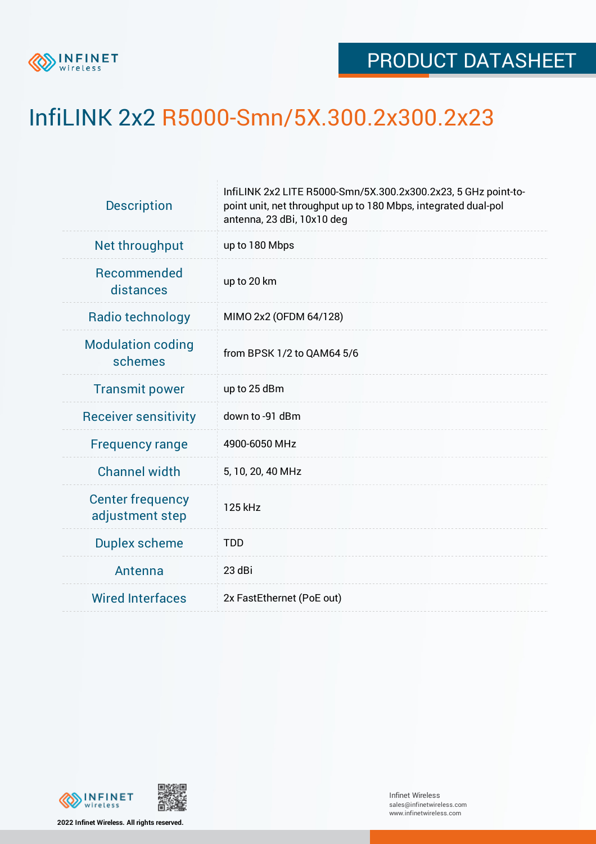

## InfiLINK 2x2 R5000-Smn/5X.300.2x300.2x23

| <b>Description</b>                         | InfiLINK 2x2 LITE R5000-Smn/5X.300.2x300.2x23, 5 GHz point-to-<br>point unit, net throughput up to 180 Mbps, integrated dual-pol<br>antenna, 23 dBi, 10x10 deg |  |  |  |
|--------------------------------------------|----------------------------------------------------------------------------------------------------------------------------------------------------------------|--|--|--|
| Net throughput                             | up to 180 Mbps                                                                                                                                                 |  |  |  |
| Recommended<br>distances                   | up to 20 km                                                                                                                                                    |  |  |  |
| Radio technology                           | MIMO 2x2 (OFDM 64/128)                                                                                                                                         |  |  |  |
| <b>Modulation coding</b><br>schemes        | from BPSK 1/2 to QAM64 5/6                                                                                                                                     |  |  |  |
| <b>Transmit power</b>                      | up to 25 dBm                                                                                                                                                   |  |  |  |
| <b>Receiver sensitivity</b>                | down to -91 dBm                                                                                                                                                |  |  |  |
| <b>Frequency range</b>                     | 4900-6050 MHz                                                                                                                                                  |  |  |  |
| <b>Channel width</b>                       | 5, 10, 20, 40 MHz                                                                                                                                              |  |  |  |
| <b>Center frequency</b><br>adjustment step | 125 kHz                                                                                                                                                        |  |  |  |
| <b>Duplex scheme</b>                       | <b>TDD</b>                                                                                                                                                     |  |  |  |
| Antenna                                    | 23 dBi                                                                                                                                                         |  |  |  |
| <b>Wired Interfaces</b>                    | 2x FastEthernet (PoE out)                                                                                                                                      |  |  |  |



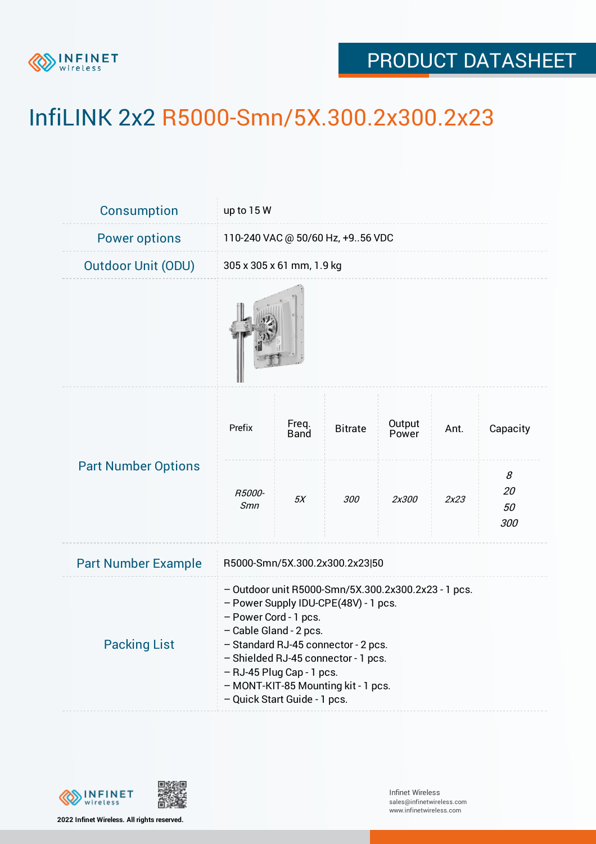

## PRODUCT DATASHEET

## InfiLINK 2x2 R5000-Smn/5X.300.2x300.2x23

| <b>Consumption</b>         | up to 15 W                                                                                                                                                                                                                                                                                                                       |                      |                |                 |      |                      |  |  |
|----------------------------|----------------------------------------------------------------------------------------------------------------------------------------------------------------------------------------------------------------------------------------------------------------------------------------------------------------------------------|----------------------|----------------|-----------------|------|----------------------|--|--|
| <b>Power options</b>       | 110-240 VAC @ 50/60 Hz, +956 VDC                                                                                                                                                                                                                                                                                                 |                      |                |                 |      |                      |  |  |
| <b>Outdoor Unit (ODU)</b>  | 305 x 305 x 61 mm, 1.9 kg                                                                                                                                                                                                                                                                                                        |                      |                |                 |      |                      |  |  |
|                            |                                                                                                                                                                                                                                                                                                                                  |                      |                |                 |      |                      |  |  |
| <b>Part Number Options</b> | Prefix                                                                                                                                                                                                                                                                                                                           | Freq.<br><b>Band</b> | <b>Bitrate</b> | Output<br>Power | Ant. | Capacity             |  |  |
|                            | <i>R5000-</i><br><b>Smn</b>                                                                                                                                                                                                                                                                                                      | 5X                   | 300            | 2x300           | 2x23 | 8<br>20<br>50<br>300 |  |  |
| <b>Part Number Example</b> | R5000-Smn/5X.300.2x300.2x23 50                                                                                                                                                                                                                                                                                                   |                      |                |                 |      |                      |  |  |
| <b>Packing List</b>        | - Outdoor unit R5000-Smn/5X.300.2x300.2x23 - 1 pcs.<br>- Power Supply IDU-CPE(48V) - 1 pcs.<br>- Power Cord - 1 pcs.<br>- Cable Gland - 2 pcs.<br>- Standard RJ-45 connector - 2 pcs.<br>- Shielded RJ-45 connector - 1 pcs.<br>- RJ-45 Plug Cap - 1 pcs.<br>- MONT-KIT-85 Mounting kit - 1 pcs.<br>- Quick Start Guide - 1 pcs. |                      |                |                 |      |                      |  |  |



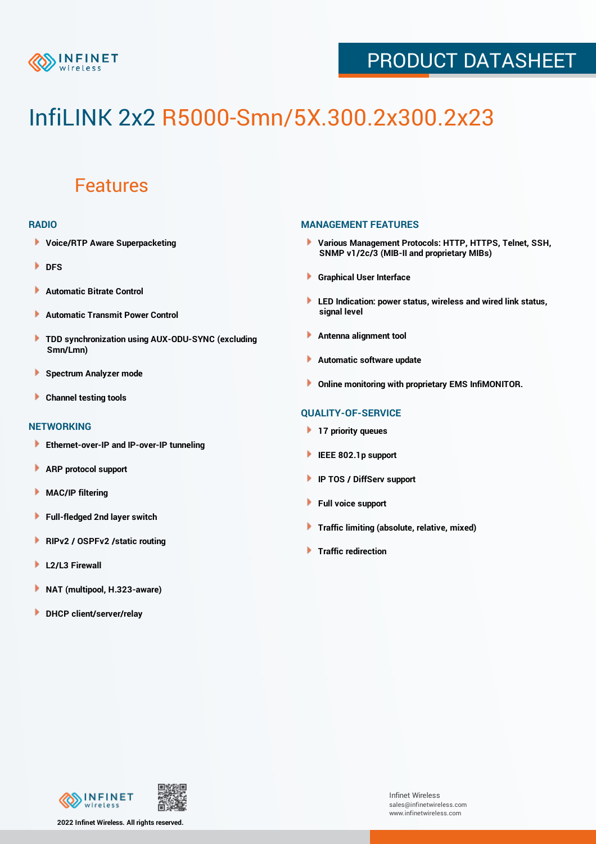

## PRODUCT DATASHEET

# InfiLINK 2x2 R5000-Smn/5X.300.2x300.2x23

### Features

#### **RADIO**

- **Voice/RTP Aware Superpacketing**
- **DFS**
- **Automatic Bitrate Control** Þ
- Þ **Automatic Transmit Power Control**
- ь **TDD synchronization using AUX-ODU-SYNC (excluding Smn/Lmn)**
- **Spectrum Analyzer mode** ۰
- **Channel testing tools** ١

#### **NETWORKING**

- **Ethernet-over-IP and IP-over-IP tunneling**
- Þ **ARP protocol support**
- ۱ **MAC/IP filtering**
- Þ **Full-fledged 2nd layer switch**
- Þ **RIPv2 / OSPFv2 /static routing**
- **L2/L3 Firewall** Þ
- **NAT (multipool, H.323-aware)** Þ
- Þ **DHCP client/server/relay**

#### **MANAGEMENT FEATURES**

- **Various Management Protocols: HTTP, HTTPS, Telnet, SSH, SNMP v1/2c/3 (MIB-II and proprietary MIBs)**
- **Graphical User Interface**
- **LED Indication: power status, wireless and wired link status, signal level**
- **Antenna alignment tool**
- ٠ **Automatic software update**
- **Online monitoring with proprietary EMS InfiMONITOR.**

#### **QUALITY-OF-SERVICE**

- **17 priority queues**
- **IEEE 802.1p support**
- **IP TOS / DiffServ support**
- ٠ **Full voice support**
- **Traffic limiting (absolute, relative, mixed)** ٠
- **Traffic redirection**